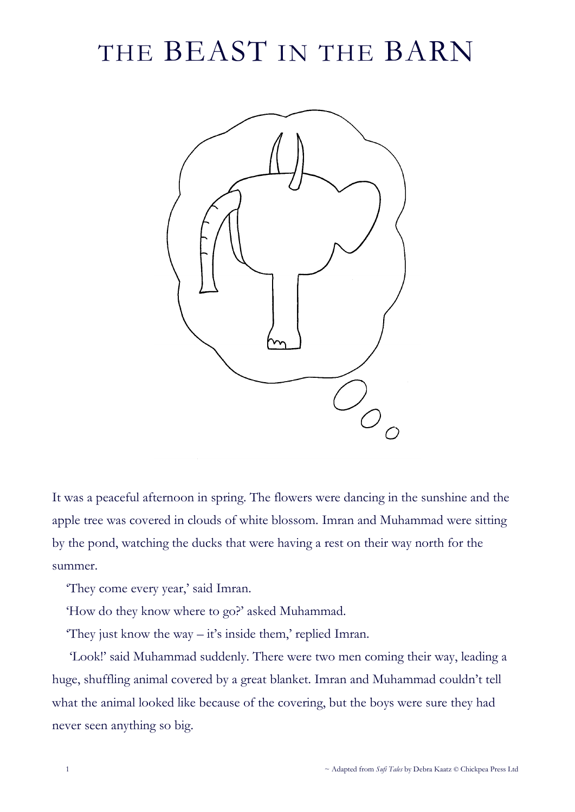## THE BEAST IN THE BARN



It was a peaceful afternoon in spring. The flowers were dancing in the sunshine and the apple tree was covered in clouds of white blossom. Imran and Muhammad were sitting by the pond, watching the ducks that were having a rest on their way north for the summer.

'They come every year,' said Imran.

'How do they know where to go?' asked Muhammad.

They just know the way  $-i\vec{t}$ 's inside them,' replied Imran.

'Look!' said Muhammad suddenly. There were two men coming their way, leading a huge, shuffling animal covered by a great blanket. Imran and Muhammad couldn't tell what the animal looked like because of the covering, but the boys were sure they had never seen anything so big.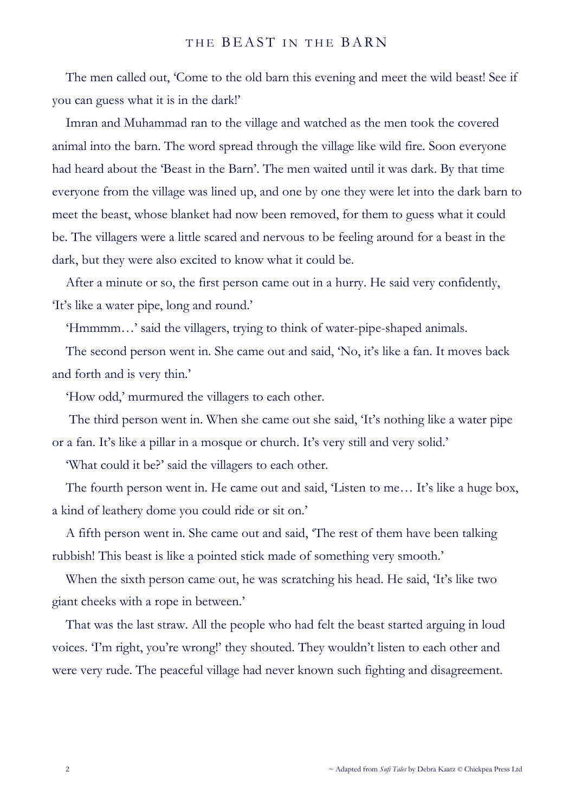## THE BEAST IN THE BARN

The men called out, 'Come to the old barn this evening and meet the wild beast! See if you can guess what it is in the dark!'

Imran and Muhammad ran to the village and watched as the men took the covered animal into the barn. The word spread through the village like wild fire. Soon everyone had heard about the 'Beast in the Barn'. The men waited until it was dark. By that time everyone from the village was lined up, and one by one they were let into the dark barn to meet the beast, whose blanket had now been removed, for them to guess what it could be. The villagers were a little scared and nervous to be feeling around for a beast in the dark, but they were also excited to know what it could be.

After a minute or so, the first person came out in a hurry. He said very confidently, 'It's like a water pipe, long and round.'

'Hmmmm…' said the villagers, trying to think of water-pipe-shaped animals.

The second person went in. She came out and said, 'No, it's like a fan. It moves back and forth and is very thin.'

'How odd,' murmured the villagers to each other.

The third person went in. When she came out she said, 'It's nothing like a water pipe or a fan. It's like a pillar in a mosque or church. It's very still and very solid.'

'What could it be?' said the villagers to each other.

The fourth person went in. He came out and said, 'Listen to me… It's like a huge box, a kind of leathery dome you could ride or sit on.'

A fifth person went in. She came out and said, 'The rest of them have been talking rubbish! This beast is like a pointed stick made of something very smooth.'

When the sixth person came out, he was scratching his head. He said, 'It's like two giant cheeks with a rope in between.'

That was the last straw. All the people who had felt the beast started arguing in loud voices. 'I'm right, you're wrong!' they shouted. They wouldn't listen to each other and were very rude. The peaceful village had never known such fighting and disagreement.